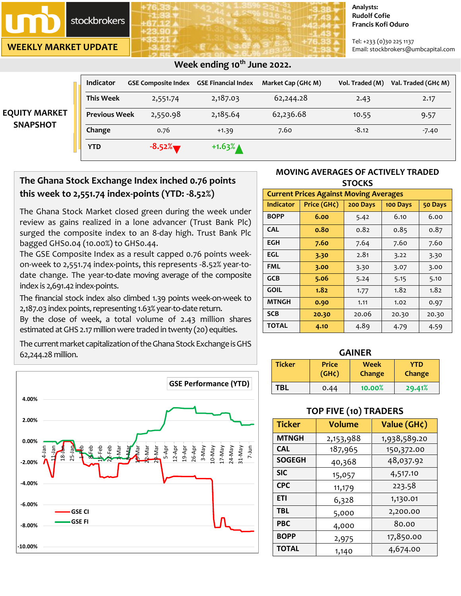# **stockbrokers**

**WEEKLY MARKET UPDATE**

#### **Analysts: Rudolf Cofie Francis Kofi Oduro**

Tel: +233 (0)30 225 1137 Email: stockbrokers@umbcapital.com

|                                         | <b>Indicator</b>     | <b>GSE Composite Index</b> | <b>GSE Financial Index</b> | Market Cap (GH¢ M) | Vol. Traded (M) | Val. Traded (GH¢ M) |
|-----------------------------------------|----------------------|----------------------------|----------------------------|--------------------|-----------------|---------------------|
| <b>EQUITY MARKET</b><br><b>SNAPSHOT</b> | <b>This Week</b>     | 2,551.74                   | 2,187.03                   | 62,244.28          | 2.43            | 2.17                |
|                                         | <b>Previous Week</b> | 2,550.98                   | 2,185.64                   | 62,236.68          | 10.55           | 9.57                |
|                                         | Change               | 0.76                       | $+1.39$                    | 7.60               | $-8.12$         | $-7.40$             |
|                                         | <b>YTD</b>           | $-8.52%$                   | $+1.63%$                   |                    |                 |                     |

## **Week ending 10th June 2022.**

# **The Ghana Stock Exchange Index inched 0.76 points this week to 2,551.74 index-points (YTD: -8.52%)**

The Ghana Stock Market closed green during the week under review as gains realized in a lone advancer (Trust Bank Plc) surged the composite index to an 8-day high. Trust Bank Plc bagged GHS0.04 (10.00%) to GHS0.44.

The GSE Composite Index as a result capped 0.76 points weekon-week to 2,551.74 index-points, this represents -8.52% year-todate change. The year-to-date moving average of the composite index is 2,691.42 index-points.

The financial stock index also climbed 1.39 points week-on-week to 2,187.03 index points, representing 1.63% year-to-date return.

By the close of week, a total volume of 2.43 million shares estimated atGHS 2.17 million were traded in twenty (20) equities.

The current market capitalization of the Ghana Stock Exchange is GHS 62,244.28 million. **GAINER**



## **MOVING AVERAGES OF ACTIVELY TRADED STOCKS**

| <b>Current Prices Against Moving Averages</b> |             |          |          |         |  |
|-----------------------------------------------|-------------|----------|----------|---------|--|
| <b>Indicator</b>                              | Price (GH¢) | 200 Days | 100 Days | 50 Days |  |
| <b>BOPP</b>                                   | 6.00        | 5.42     | 6.10     | 6.00    |  |
| <b>CAL</b>                                    | 0.80        | 0.82     | 0.85     | 0.87    |  |
| EGH                                           | 7.60        | 7.64     | 7.60     | 7.60    |  |
| EGL                                           | 3.30        | 2.81     | 3.22     | 3.30    |  |
| FML                                           | 3.00        | 3.30     | 3.07     | 3.00    |  |
| <b>GCB</b>                                    | 5.06        | 5.24     | 5.15     | 5.10    |  |
| <b>GOIL</b>                                   | 1.82        | 1.77     | 1.82     | 1.82    |  |
| <b>MTNGH</b>                                  | 0.90        | 1.11     | 1.02     | 0.97    |  |
| <b>SCB</b>                                    | 20.30       | 20.06    | 20.30    | 20.30   |  |
| <b>TOTAL</b>                                  | 4.10        | 4.89     | 4.79     | 4.59    |  |

| <b>Ticker</b> | <b>Price</b> | <b>Week</b> | YTD    |
|---------------|--------------|-------------|--------|
|               | $(GH\zeta)$  | Change      | Change |
| <b>TBL</b>    | 0.44         | 10.00%      | 29.41% |

## **TOP FIVE (10) TRADERS**

| <b>Ticker</b> | Volume    | Value (GH¢)  |
|---------------|-----------|--------------|
| <b>MTNGH</b>  | 2,153,988 | 1,938,589.20 |
| <b>CAL</b>    | 187,965   | 150,372.00   |
| <b>SOGEGH</b> | 40,368    | 48,037.92    |
| <b>SIC</b>    | 15,057    | 4,517.10     |
| <b>CPC</b>    | 11,179    | 223.58       |
| <b>ETI</b>    | 6,328     | 1,130.01     |
| <b>TBL</b>    | 5,000     | 2,200.00     |
| <b>PBC</b>    | 4,000     | 80.00        |
| <b>BOPP</b>   | 2,975     | 17,850.00    |
| <b>TOTAL</b>  | 1,140     | 4,674.00     |